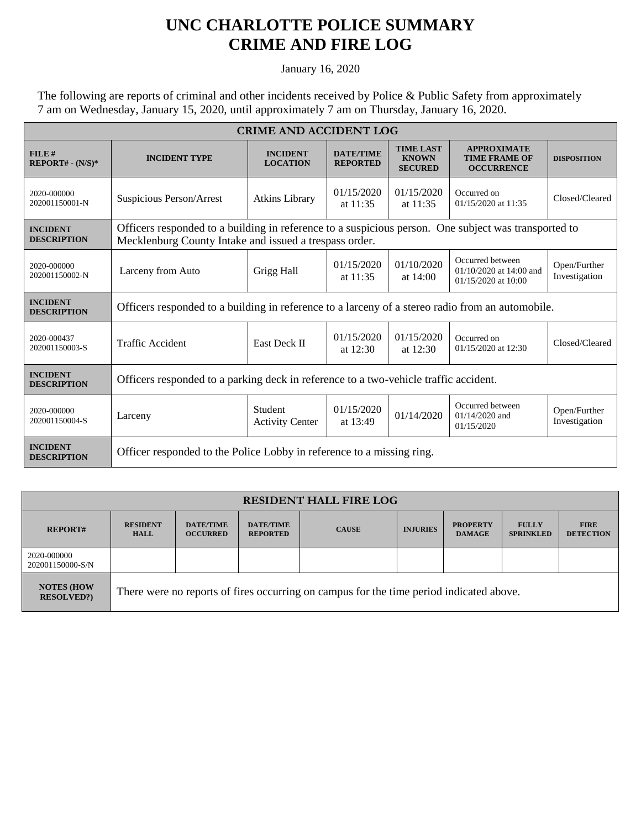## **UNC CHARLOTTE POLICE SUMMARY CRIME AND FIRE LOG**

January 16, 2020

The following are reports of criminal and other incidents received by Police & Public Safety from approximately 7 am on Wednesday, January 15, 2020, until approximately 7 am on Thursday, January 16, 2020.

| <b>CRIME AND ACCIDENT LOG</b>         |                                                                                                                                                                |                                    |                                     |                                                    |                                                                    |                               |  |  |
|---------------------------------------|----------------------------------------------------------------------------------------------------------------------------------------------------------------|------------------------------------|-------------------------------------|----------------------------------------------------|--------------------------------------------------------------------|-------------------------------|--|--|
| FILE#<br>$REPORT# - (N/S)*$           | <b>INCIDENT TYPE</b>                                                                                                                                           | <b>INCIDENT</b><br><b>LOCATION</b> | <b>DATE/TIME</b><br><b>REPORTED</b> | <b>TIME LAST</b><br><b>KNOWN</b><br><b>SECURED</b> | <b>APPROXIMATE</b><br><b>TIME FRAME OF</b><br><b>OCCURRENCE</b>    | <b>DISPOSITION</b>            |  |  |
| 2020-000000<br>202001150001-N         | Suspicious Person/Arrest                                                                                                                                       | <b>Atkins Library</b>              | 01/15/2020<br>at 11:35              | 01/15/2020<br>at $11:35$                           | Occurred on<br>01/15/2020 at 11:35                                 | Closed/Cleared                |  |  |
| <b>INCIDENT</b><br><b>DESCRIPTION</b> | Officers responded to a building in reference to a suspicious person. One subject was transported to<br>Mecklenburg County Intake and issued a trespass order. |                                    |                                     |                                                    |                                                                    |                               |  |  |
| 2020-000000<br>202001150002-N         | Larceny from Auto                                                                                                                                              | Grigg Hall                         | 01/15/2020<br>at $11:35$            | 01/10/2020<br>at $14:00$                           | Occurred between<br>01/10/2020 at 14:00 and<br>01/15/2020 at 10:00 | Open/Further<br>Investigation |  |  |
| <b>INCIDENT</b><br><b>DESCRIPTION</b> | Officers responded to a building in reference to a larceny of a stereo radio from an automobile.                                                               |                                    |                                     |                                                    |                                                                    |                               |  |  |
| 2020-000437<br>202001150003-S         | <b>Traffic Accident</b>                                                                                                                                        | East Deck II                       | 01/15/2020<br>at $12:30$            | 01/15/2020<br>at $12:30$                           | Occurred on<br>01/15/2020 at 12:30                                 | Closed/Cleared                |  |  |
| <b>INCIDENT</b><br><b>DESCRIPTION</b> | Officers responded to a parking deck in reference to a two-vehicle traffic accident.                                                                           |                                    |                                     |                                                    |                                                                    |                               |  |  |
| 2020-000000<br>202001150004-S         | Larceny                                                                                                                                                        | Student<br><b>Activity Center</b>  | 01/15/2020<br>at 13:49              | 01/14/2020                                         | Occurred between<br>$01/14/2020$ and<br>01/15/2020                 | Open/Further<br>Investigation |  |  |
| <b>INCIDENT</b><br><b>DESCRIPTION</b> | Officer responded to the Police Lobby in reference to a missing ring.                                                                                          |                                    |                                     |                                                    |                                                                    |                               |  |  |

| <b>RESIDENT HALL FIRE LOG</b>         |                                                                                         |                                     |                                     |              |                 |                                  |                                  |                                 |
|---------------------------------------|-----------------------------------------------------------------------------------------|-------------------------------------|-------------------------------------|--------------|-----------------|----------------------------------|----------------------------------|---------------------------------|
| <b>REPORT#</b>                        | <b>RESIDENT</b><br><b>HALL</b>                                                          | <b>DATE/TIME</b><br><b>OCCURRED</b> | <b>DATE/TIME</b><br><b>REPORTED</b> | <b>CAUSE</b> | <b>INJURIES</b> | <b>PROPERTY</b><br><b>DAMAGE</b> | <b>FULLY</b><br><b>SPRINKLED</b> | <b>FIRE</b><br><b>DETECTION</b> |
| 2020-000000<br>202001150000-S/N       |                                                                                         |                                     |                                     |              |                 |                                  |                                  |                                 |
| <b>NOTES (HOW</b><br><b>RESOLVED?</b> | There were no reports of fires occurring on campus for the time period indicated above. |                                     |                                     |              |                 |                                  |                                  |                                 |